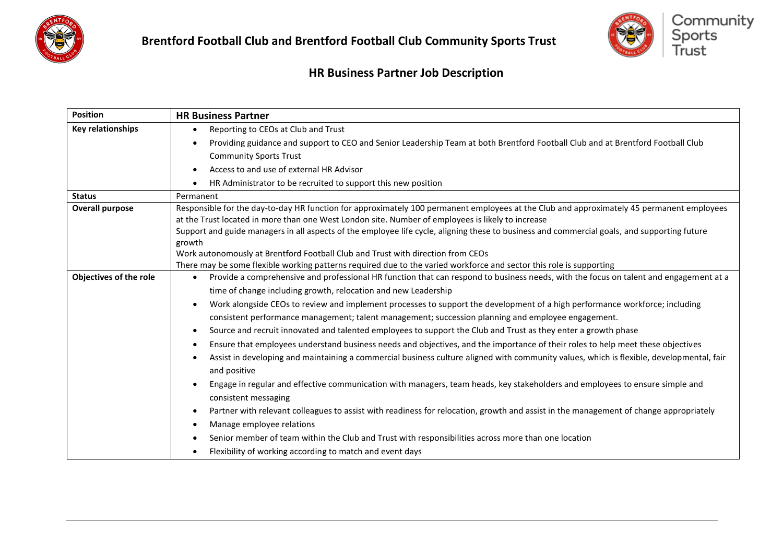



| <b>Position</b>          | <b>HR Business Partner</b>                                                                                                                                                                                                                     |
|--------------------------|------------------------------------------------------------------------------------------------------------------------------------------------------------------------------------------------------------------------------------------------|
| <b>Key relationships</b> | Reporting to CEOs at Club and Trust<br>$\bullet$                                                                                                                                                                                               |
|                          | Providing guidance and support to CEO and Senior Leadership Team at both Brentford Football Club and at Brentford Football Club                                                                                                                |
|                          | <b>Community Sports Trust</b>                                                                                                                                                                                                                  |
|                          | Access to and use of external HR Advisor<br>$\bullet$                                                                                                                                                                                          |
|                          | HR Administrator to be recruited to support this new position<br>$\bullet$                                                                                                                                                                     |
| <b>Status</b>            | Permanent                                                                                                                                                                                                                                      |
| <b>Overall purpose</b>   | Responsible for the day-to-day HR function for approximately 100 permanent employees at the Club and approximately 45 permanent employees<br>at the Trust located in more than one West London site. Number of employees is likely to increase |
|                          | Support and guide managers in all aspects of the employee life cycle, aligning these to business and commercial goals, and supporting future<br>growth                                                                                         |
|                          | Work autonomously at Brentford Football Club and Trust with direction from CEOs                                                                                                                                                                |
|                          | There may be some flexible working patterns required due to the varied workforce and sector this role is supporting                                                                                                                            |
| Objectives of the role   | Provide a comprehensive and professional HR function that can respond to business needs, with the focus on talent and engagement at a<br>$\bullet$                                                                                             |
|                          | time of change including growth, relocation and new Leadership                                                                                                                                                                                 |
|                          | Work alongside CEOs to review and implement processes to support the development of a high performance workforce; including<br>$\bullet$                                                                                                       |
|                          | consistent performance management; talent management; succession planning and employee engagement.                                                                                                                                             |
|                          | Source and recruit innovated and talented employees to support the Club and Trust as they enter a growth phase<br>$\bullet$                                                                                                                    |
|                          | Ensure that employees understand business needs and objectives, and the importance of their roles to help meet these objectives<br>$\bullet$                                                                                                   |
|                          | Assist in developing and maintaining a commercial business culture aligned with community values, which is flexible, developmental, fair<br>and positive                                                                                       |
|                          | Engage in regular and effective communication with managers, team heads, key stakeholders and employees to ensure simple and<br>consistent messaging                                                                                           |
|                          | Partner with relevant colleagues to assist with readiness for relocation, growth and assist in the management of change appropriately<br>$\bullet$                                                                                             |
|                          | Manage employee relations                                                                                                                                                                                                                      |
|                          | Senior member of team within the Club and Trust with responsibilities across more than one location<br>$\bullet$                                                                                                                               |
|                          | Flexibility of working according to match and event days                                                                                                                                                                                       |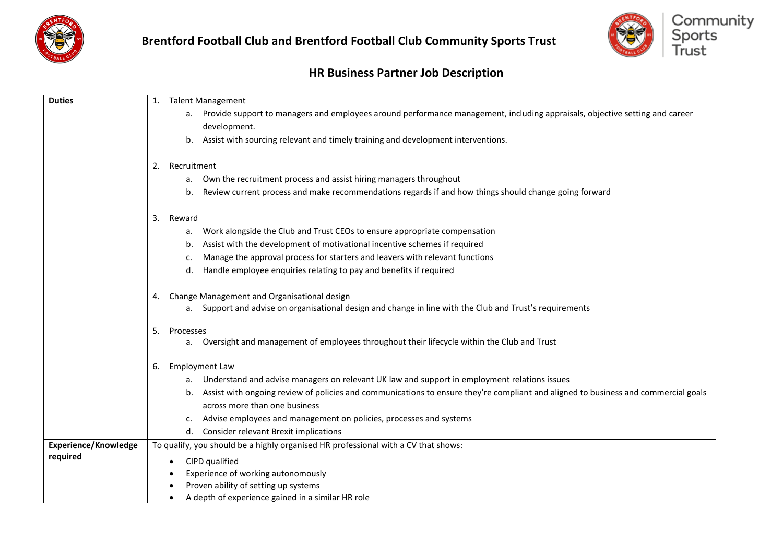



| <b>Duties</b>               | <b>Talent Management</b><br>1.                                                                                                           |
|-----------------------------|------------------------------------------------------------------------------------------------------------------------------------------|
|                             |                                                                                                                                          |
|                             | a. Provide support to managers and employees around performance management, including appraisals, objective setting and career           |
|                             | development.                                                                                                                             |
|                             | Assist with sourcing relevant and timely training and development interventions.<br>b.                                                   |
|                             |                                                                                                                                          |
|                             | Recruitment<br>2.                                                                                                                        |
|                             | a. Own the recruitment process and assist hiring managers throughout                                                                     |
|                             | Review current process and make recommendations regards if and how things should change going forward<br>b.                              |
|                             | Reward<br>3.                                                                                                                             |
|                             | Work alongside the Club and Trust CEOs to ensure appropriate compensation<br>а.                                                          |
|                             | Assist with the development of motivational incentive schemes if required<br>b.                                                          |
|                             | Manage the approval process for starters and leavers with relevant functions<br>c.                                                       |
|                             | Handle employee enquiries relating to pay and benefits if required<br>d.                                                                 |
|                             |                                                                                                                                          |
|                             | Change Management and Organisational design<br>4.                                                                                        |
|                             | a. Support and advise on organisational design and change in line with the Club and Trust's requirements                                 |
|                             | 5.<br>Processes                                                                                                                          |
|                             | a. Oversight and management of employees throughout their lifecycle within the Club and Trust                                            |
|                             | <b>Employment Law</b><br>6.                                                                                                              |
|                             | a. Understand and advise managers on relevant UK law and support in employment relations issues                                          |
|                             | Assist with ongoing review of policies and communications to ensure they're compliant and aligned to business and commercial goals<br>b. |
|                             | across more than one business                                                                                                            |
|                             | Advise employees and management on policies, processes and systems                                                                       |
|                             | <b>Consider relevant Brexit implications</b><br>d.                                                                                       |
| <b>Experience/Knowledge</b> | To qualify, you should be a highly organised HR professional with a CV that shows:                                                       |
| required                    | CIPD qualified                                                                                                                           |
|                             | Experience of working autonomously                                                                                                       |
|                             | Proven ability of setting up systems                                                                                                     |
|                             | A depth of experience gained in a similar HR role                                                                                        |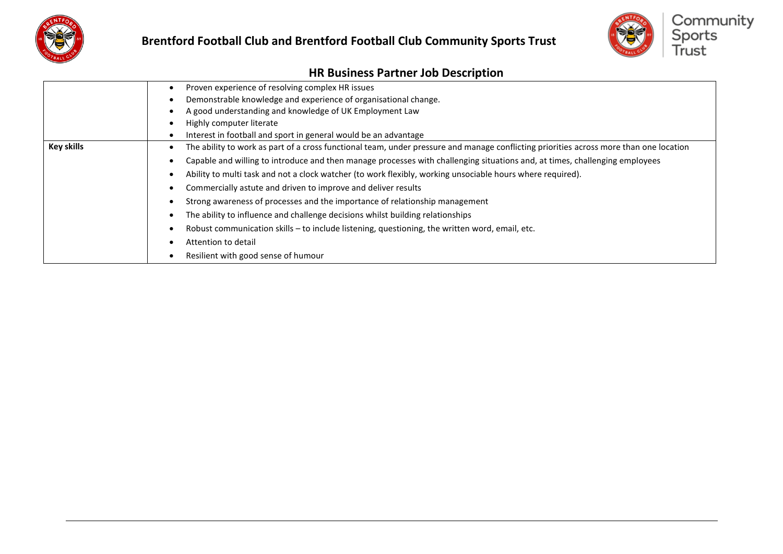



|                   | Proven experience of resolving complex HR issues                                                                                       |
|-------------------|----------------------------------------------------------------------------------------------------------------------------------------|
|                   |                                                                                                                                        |
|                   | Demonstrable knowledge and experience of organisational change.                                                                        |
|                   | A good understanding and knowledge of UK Employment Law                                                                                |
|                   | Highly computer literate                                                                                                               |
|                   | Interest in football and sport in general would be an advantage                                                                        |
| <b>Key skills</b> | The ability to work as part of a cross functional team, under pressure and manage conflicting priorities across more than one location |
|                   | Capable and willing to introduce and then manage processes with challenging situations and, at times, challenging employees            |
|                   | Ability to multi task and not a clock watcher (to work flexibly, working unsociable hours where required).                             |
|                   | Commercially astute and driven to improve and deliver results                                                                          |
|                   | Strong awareness of processes and the importance of relationship management                                                            |
|                   | The ability to influence and challenge decisions whilst building relationships                                                         |
|                   | Robust communication skills - to include listening, questioning, the written word, email, etc.                                         |
|                   | Attention to detail                                                                                                                    |
|                   | Resilient with good sense of humour                                                                                                    |